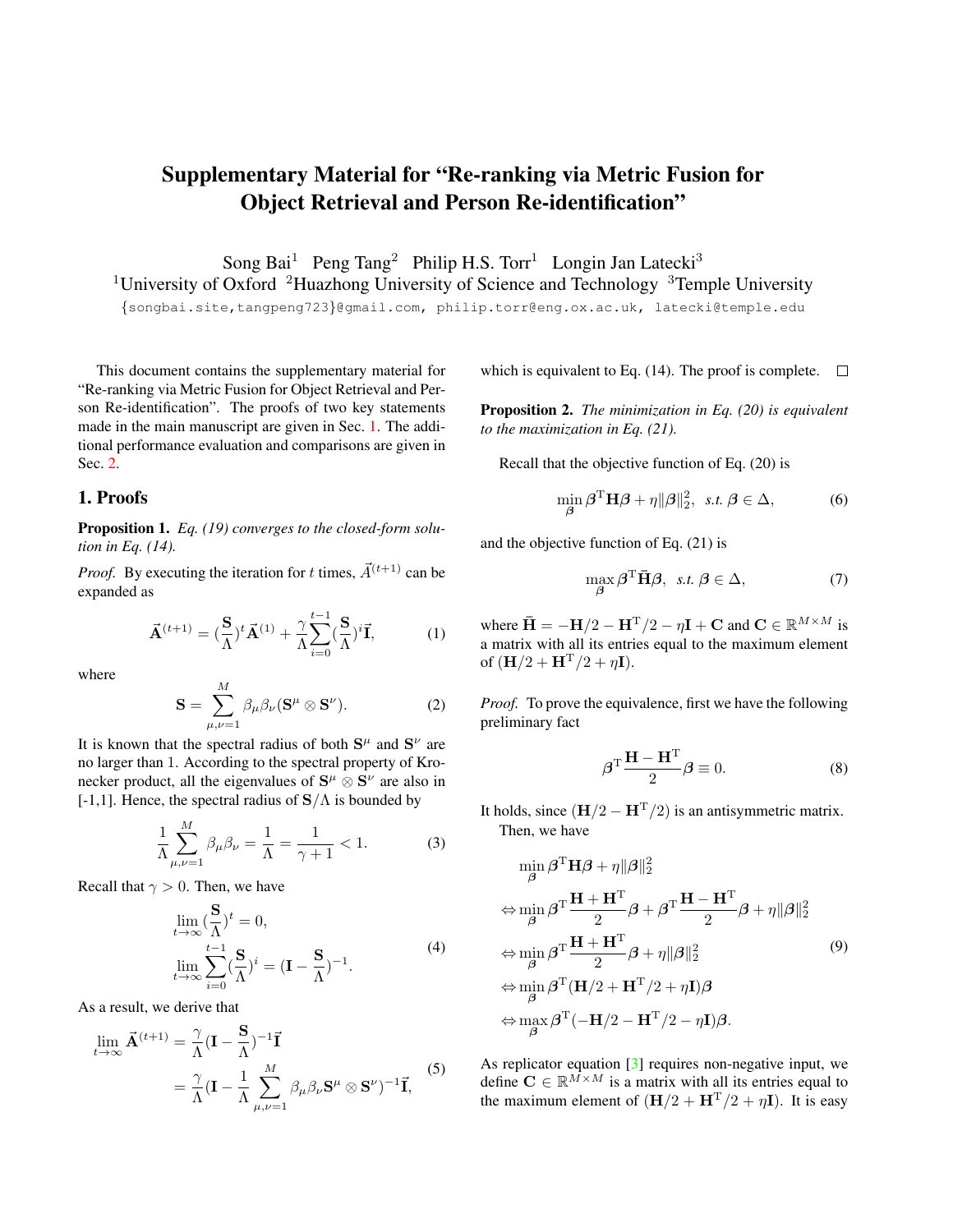## <span id="page-0-2"></span>Supplementary Material for "Re-ranking via Metric Fusion for Object Retrieval and Person Re-identification"

Song Bai<sup>1</sup> Peng Tang<sup>2</sup> Philip H.S. Torr<sup>1</sup> Longin Jan Latecki<sup>3</sup>

<sup>1</sup>University of Oxford <sup>2</sup>Huazhong University of Science and Technology  $3$ Temple University

{songbai.site,tangpeng723}@gmail.com, philip.torr@eng.ox.ac.uk, latecki@temple.edu

This document contains the supplementary material for "Re-ranking via Metric Fusion for Object Retrieval and Person Re-identification". The proofs of two key statements made in the main manuscript are given in Sec. [1.](#page-0-0) The additional performance evaluation and comparisons are given in Sec. [2.](#page-1-0)

## <span id="page-0-0"></span>1. Proofs

Proposition 1. *Eq. (19) converges to the closed-form solution in Eq. (14).*

*Proof.* By executing the iteration for t times,  $\vec{A}^{(t+1)}$  can be expanded as

$$
\vec{\mathbf{A}}^{(t+1)} = (\frac{\mathbf{S}}{\Lambda})^t \vec{\mathbf{A}}^{(1)} + \frac{\gamma}{\Lambda} \sum_{i=0}^{t-1} (\frac{\mathbf{S}}{\Lambda})^i \vec{\mathbf{I}},
$$
 (1)

where

$$
\mathbf{S} = \sum_{\mu,\nu=1}^{M} \beta_{\mu} \beta_{\nu} (\mathbf{S}^{\mu} \otimes \mathbf{S}^{\nu}). \tag{2}
$$

It is known that the spectral radius of both  $S^{\mu}$  and  $S^{\nu}$  are no larger than 1. According to the spectral property of Kronecker product, all the eigenvalues of  $S^{\mu} \otimes S^{\nu}$  are also in [-1,1]. Hence, the spectral radius of  $S/\Lambda$  is bounded by

 $\overline{M}$ 

$$
\frac{1}{\Lambda} \sum_{\mu,\nu=1}^{M} \beta_{\mu} \beta_{\nu} = \frac{1}{\Lambda} = \frac{1}{\gamma + 1} < 1. \tag{3}
$$

Recall that  $\gamma > 0$ . Then, we have

$$
\lim_{t \to \infty} (\frac{\mathbf{S}}{\Lambda})^t = 0,
$$
\n
$$
\lim_{t \to \infty} \sum_{i=0}^{t-1} (\frac{\mathbf{S}}{\Lambda})^i = (\mathbf{I} - \frac{\mathbf{S}}{\Lambda})^{-1}.
$$
\n(4)

As a result, we derive that

$$
\lim_{t \to \infty} \vec{\mathbf{A}}^{(t+1)} = \frac{\gamma}{\Lambda} (\mathbf{I} - \frac{\mathbf{S}}{\Lambda})^{-1} \vec{\mathbf{I}} \n= \frac{\gamma}{\Lambda} (\mathbf{I} - \frac{1}{\Lambda} \sum_{\mu,\nu=1}^{M} \beta_{\mu} \beta_{\nu} \mathbf{S}^{\mu} \otimes \mathbf{S}^{\nu})^{-1} \vec{\mathbf{I}},
$$
\n(5)

which is equivalent to Eq. (14). The proof is complete.  $\Box$ 

Proposition 2. *The minimization in Eq. (20) is equivalent to the maximization in Eq. (21).*

Recall that the objective function of Eq. (20) is

$$
\min_{\boldsymbol{\beta}} \boldsymbol{\beta}^{\mathrm{T}} \mathbf{H} \boldsymbol{\beta} + \eta \|\boldsymbol{\beta}\|_{2}^{2}, \ \text{ s.t. } \boldsymbol{\beta} \in \Delta,
$$
 (6)

and the objective function of Eq. (21) is

$$
\max_{\beta} \beta^{\mathrm{T}} \bar{\mathbf{H}} \beta, \ \text{s.t.} \ \beta \in \Delta,\tag{7}
$$

where  $\bar{\mathbf{H}} = -\mathbf{H}/2 - \mathbf{H}^{T}/2 - \eta \mathbf{I} + \mathbf{C}$  and  $\mathbf{C} \in \mathbb{R}^{M \times M}$  is a matrix with all its entries equal to the maximum element of  $({\bf H}/2 + {\bf H}^{T}/2 + \eta {\bf I}).$ 

*Proof.* To prove the equivalence, first we have the following preliminary fact

$$
\beta^{\mathrm{T}}\frac{\mathbf{H} - \mathbf{H}^{\mathrm{T}}}{2}\beta \equiv 0.
$$
 (8)

It holds, since  $(\mathbf{H}/2 - \mathbf{H}^{T}/2)$  is an antisymmetric matrix. Then, we have

<span id="page-0-1"></span>
$$
\min_{\beta} \beta^{\mathrm{T}} \mathbf{H} \beta + \eta \|\beta\|_{2}^{2}
$$
\n
$$
\Leftrightarrow \min_{\beta} \beta^{\mathrm{T}} \frac{\mathbf{H} + \mathbf{H}^{\mathrm{T}}}{2} \beta + \beta^{\mathrm{T}} \frac{\mathbf{H} - \mathbf{H}^{\mathrm{T}}}{2} \beta + \eta \|\beta\|_{2}^{2}
$$
\n
$$
\Leftrightarrow \min_{\beta} \beta^{\mathrm{T}} \frac{\mathbf{H} + \mathbf{H}^{\mathrm{T}}}{2} \beta + \eta \|\beta\|_{2}^{2}
$$
\n
$$
\Leftrightarrow \min_{\beta} \beta^{\mathrm{T}} (\mathbf{H}/2 + \mathbf{H}^{\mathrm{T}}/2 + \eta \mathbf{I}) \beta
$$
\n
$$
\Leftrightarrow \max_{\beta} \beta^{\mathrm{T}} (-\mathbf{H}/2 - \mathbf{H}^{\mathrm{T}}/2 - \eta \mathbf{I}) \beta.
$$
\n(9)

As replicator equation [\[3\]](#page-1-1) requires non-negative input, we define  $C \in \mathbb{R}^{\tilde{M} \times M}$  is a matrix with all its entries equal to the maximum element of  $(H/2 + H<sup>T</sup>/2 + \eta I)$ . It is easy